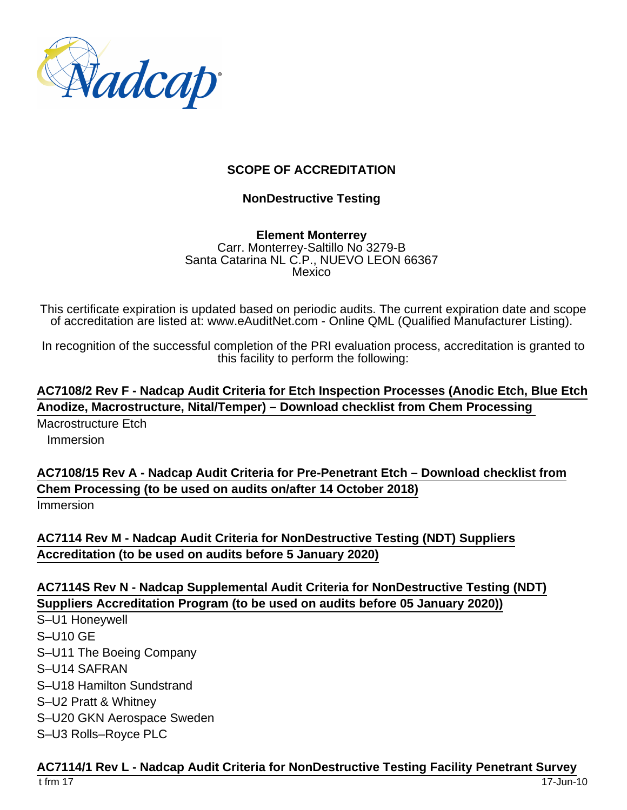

### **SCOPE OF ACCREDITATION**

### **NonDestructive Testing**

**Element Monterrey** Carr. Monterrey-Saltillo No 3279-B Santa Catarina NL C.P., NUEVO LEON 66367 Mexico

This certificate expiration is updated based on periodic audits. The current expiration date and scope of accreditation are listed at: www.eAuditNet.com - Online QML (Qualified Manufacturer Listing).

In recognition of the successful completion of the PRI evaluation process, accreditation is granted to this facility to perform the following:

**AC7108/2 Rev F - Nadcap Audit Criteria for Etch Inspection Processes (Anodic Etch, Blue Etch Anodize, Macrostructure, Nital/Temper) – Download checklist from Chem Processing** 

Macrostructure Etch Immersion

**AC7108/15 Rev A - Nadcap Audit Criteria for Pre-Penetrant Etch – Download checklist from Chem Processing (to be used on audits on/after 14 October 2018)** Immersion

**AC7114 Rev M - Nadcap Audit Criteria for NonDestructive Testing (NDT) Suppliers Accreditation (to be used on audits before 5 January 2020)**

## **AC7114S Rev N - Nadcap Supplemental Audit Criteria for NonDestructive Testing (NDT) Suppliers Accreditation Program (to be used on audits before 05 January 2020))**

S–U1 Honeywell S–U10 GE S–U11 The Boeing Company S–U14 SAFRAN S–U18 Hamilton Sundstrand S–U2 Pratt & Whitney S–U20 GKN Aerospace Sweden S–U3 Rolls–Royce PLC

#### **AC7114/1 Rev L - Nadcap Audit Criteria for NonDestructive Testing Facility Penetrant Survey**

t frm 17 17-Jun-10